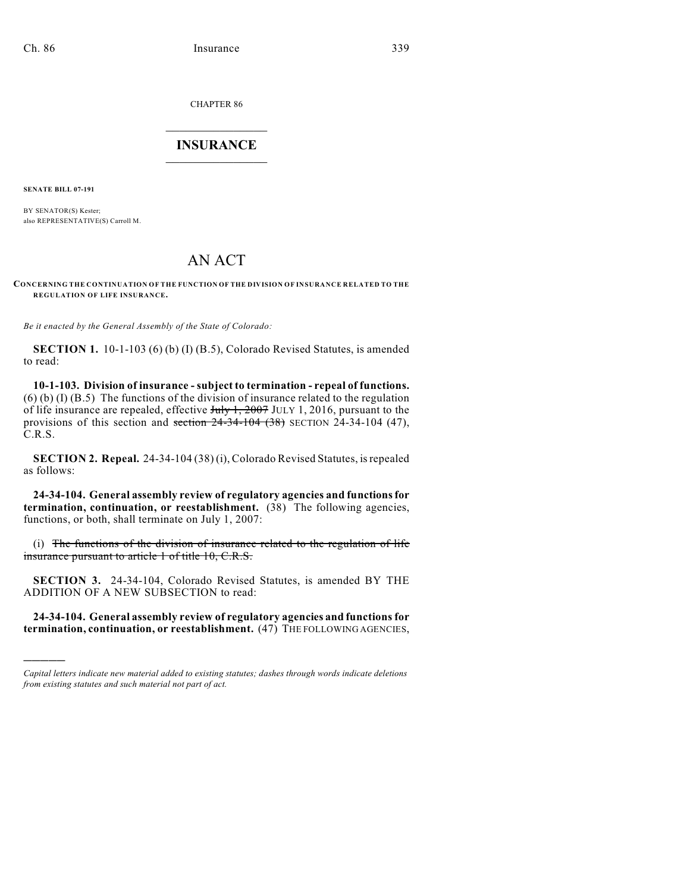CHAPTER 86

## $\overline{\phantom{a}}$  . The set of the set of the set of the set of the set of the set of the set of the set of the set of the set of the set of the set of the set of the set of the set of the set of the set of the set of the set o **INSURANCE**  $\frac{1}{2}$  ,  $\frac{1}{2}$  ,  $\frac{1}{2}$  ,  $\frac{1}{2}$  ,  $\frac{1}{2}$  ,  $\frac{1}{2}$  ,  $\frac{1}{2}$

**SENATE BILL 07-191**

)))))

BY SENATOR(S) Kester; also REPRESENTATIVE(S) Carroll M.

## AN ACT

**CONCERNING THE CONTINUATION OF THE FUNCTION OF THE DIVISION OF INSURANCE RELATED TO THE REGULATION OF LIFE INSURANCE.**

*Be it enacted by the General Assembly of the State of Colorado:*

**SECTION 1.** 10-1-103 (6) (b) (I) (B.5), Colorado Revised Statutes, is amended to read:

**10-1-103. Division of insurance - subject to termination - repeal of functions.**  $(6)$  (b) (I) (B.5) The functions of the division of insurance related to the regulation of life insurance are repealed, effective  $\frac{\text{trig}}{\text{trig}}$  July 1, 2016, pursuant to the provisions of this section and section  $24-34-104$   $(38)$  SECTION 24-34-104  $(47)$ , C.R.S.

**SECTION 2. Repeal.** 24-34-104 (38) (i), Colorado Revised Statutes, is repealed as follows:

**24-34-104. General assembly review of regulatory agencies and functions for termination, continuation, or reestablishment.** (38) The following agencies, functions, or both, shall terminate on July 1, 2007:

(i) The functions of the division of insurance related to the regulation of life insurance pursuant to article 1 of title 10, C.R.S.

**SECTION 3.** 24-34-104, Colorado Revised Statutes, is amended BY THE ADDITION OF A NEW SUBSECTION to read:

**24-34-104. General assembly review of regulatory agencies and functions for termination, continuation, or reestablishment.** (47) THE FOLLOWING AGENCIES,

*Capital letters indicate new material added to existing statutes; dashes through words indicate deletions from existing statutes and such material not part of act.*